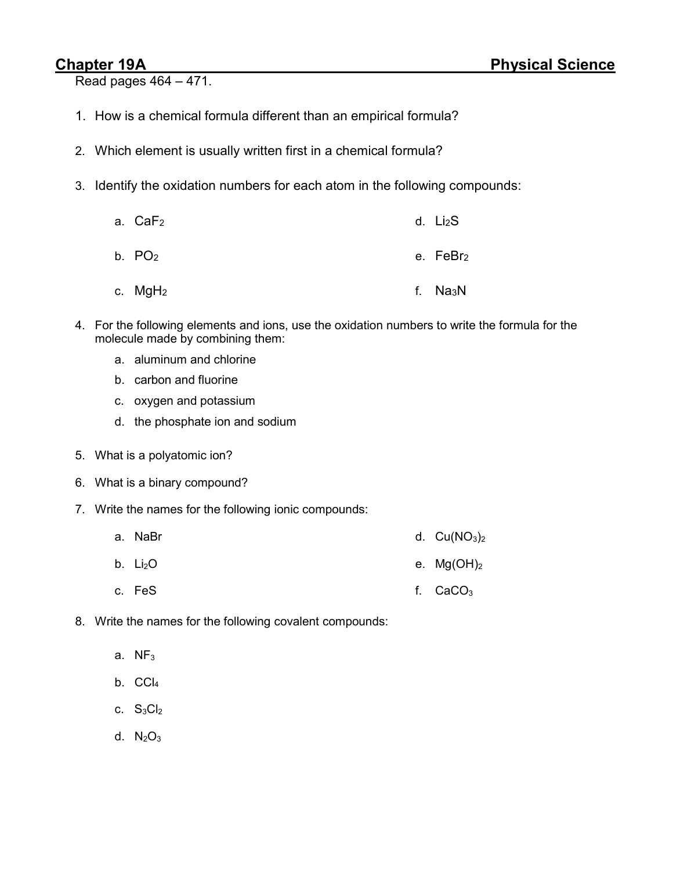Read pages 464 – 471.

- 1. How is a chemical formula different than an empirical formula?
- 2. Which element is usually written first in a chemical formula?
- 3. Identify the oxidation numbers for each atom in the following compounds:
	- a. CaF<sub>2</sub> b.  $PO<sub>2</sub>$ c. MgH<sup>2</sup> d. Li2S e. FeBr<sub>2</sub> f. Na3N
- 4. For the following elements and ions, use the oxidation numbers to write the formula for the molecule made by combining them:
	- a. aluminum and chlorine
	- b. carbon and fluorine
	- c. oxygen and potassium
	- d. the phosphate ion and sodium
- 5. What is a polyatomic ion?
- 6. What is a binary compound?
- 7. Write the names for the following ionic compounds:
	- a. NaBr d.  $Cu(NO<sub>3</sub>)<sub>2</sub>$
	- b.  $Li<sub>2</sub>O$ e.  $Mg(OH)<sub>2</sub>$
	- c. FeS f.  $CaCO<sub>3</sub>$
- 8. Write the names for the following covalent compounds:
	- a.  $NF<sub>3</sub>$
	- b.  $CCI<sub>4</sub>$
	- c.  $S_3Cl_2$
	- d.  $N_2O_3$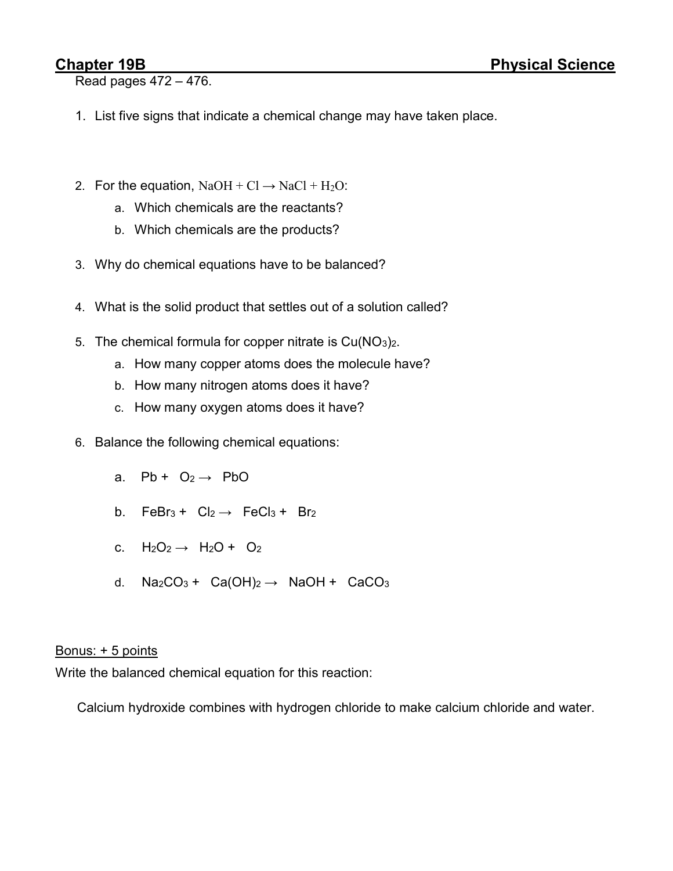Read pages 472 – 476.

- 1. List five signs that indicate a chemical change may have taken place.
- 2. For the equation,  $NaOH + Cl \rightarrow NaCl + H<sub>2</sub>O$ :
	- a. Which chemicals are the reactants?
	- b. Which chemicals are the products?
- 3. Why do chemical equations have to be balanced?
- 4. What is the solid product that settles out of a solution called?
- 5. The chemical formula for copper nitrate is  $Cu(NO<sub>3</sub>)<sub>2</sub>$ .
	- a. How many copper atoms does the molecule have?
	- b. How many nitrogen atoms does it have?
	- c. How many oxygen atoms does it have?
- 6. Balance the following chemical equations:
	- a. Pb +  $O_2 \rightarrow$  PbO
	- b. FeBr<sub>3</sub> + Cl<sub>2</sub>  $\rightarrow$  FeCl<sub>3</sub> + Br<sub>2</sub>
	- c.  $H_2O_2 \rightarrow H_2O + O_2$
	- d. Na<sub>2</sub>CO<sub>3</sub> + Ca(OH)<sub>2</sub>  $\rightarrow$  NaOH + CaCO<sub>3</sub>

## Bonus: + 5 points

Write the balanced chemical equation for this reaction:

Calcium hydroxide combines with hydrogen chloride to make calcium chloride and water.